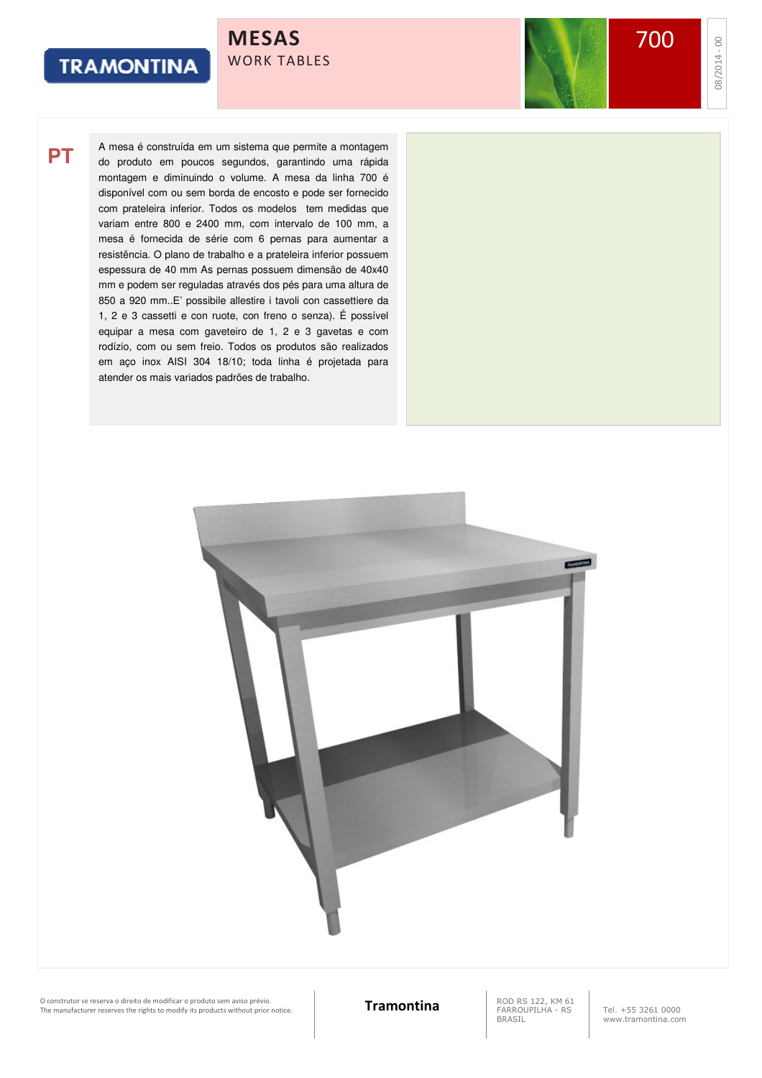700

08/2014 -

00

**PT**

A mesa é construída em um sistema que permite a montagem do produto em poucos segundos, garantindo uma rápida montagem e diminuindo o volume. A mesa da linha 700 é disponível com ou sem borda de encosto e pode ser fornecido com prateleira inferior. Todos os modelos tem medidas que variam entre 800 e 2400 mm, com intervalo de 100 mm, a mesa é fornecida de série com 6 pernas para aumentar a resistência. O plano de trabalho e a prateleira inferior possuem espessura de 40 mm As pernas possuem dimensão de 40x40 mm e podem ser reguladas através dos pés para uma altura de 850 a 920 mm..E' possibile allestire i tavoli con cassettiere da 1, 2 e 3 cassetti e con ruote, con freno o senza). É possível equipar a mesa com gaveteiro de 1, 2 e 3 gavetas e com rodízio, com ou sem freio. Todos os produtos são realizados em aço inox AISI 304 18/10; toda linha é projetada para atender os mais variados padrões de trabalho.

MESAS

WORK TABLES



O construtor se reserva o direito de modificar o produto sem aviso prévio.<br>The manufacturer reserves the rights to modify its products without prior notice. **Tramontina** RAROUPILHA - RS

FARROUPILHA - RS BRASIL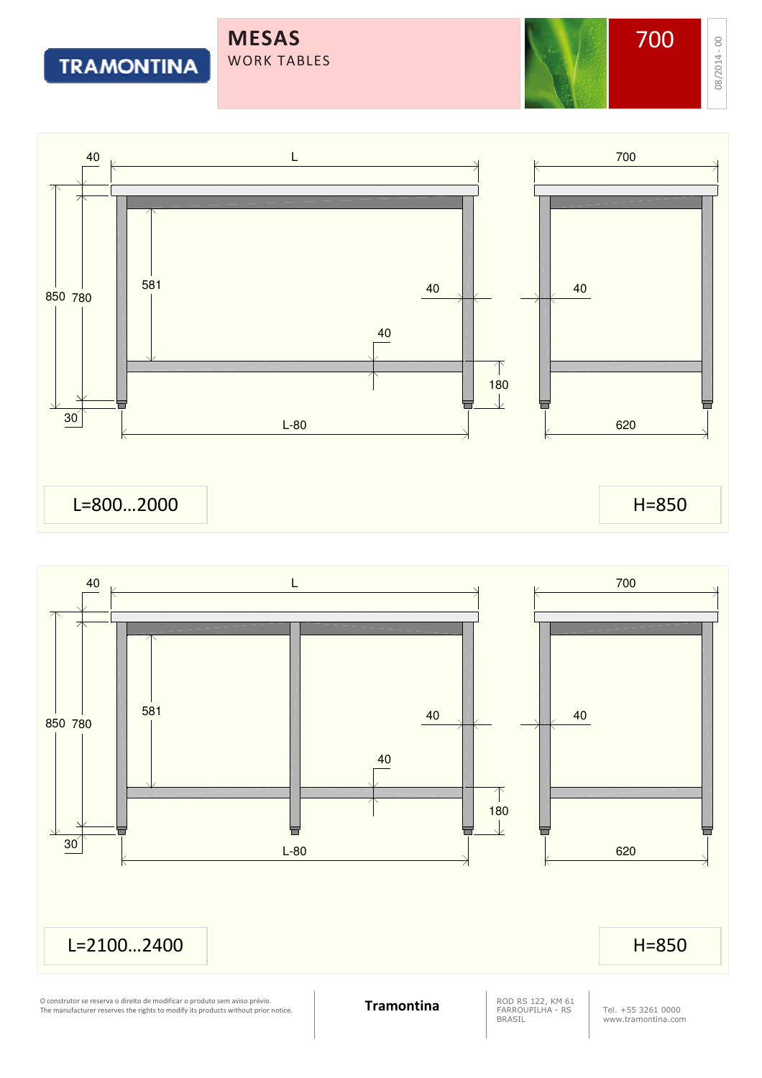MESAS WORK TABLES

# **TRAMONTINA**

08/2014 - 





O construtor se reserva o direito de modificar o produto sem aviso prévio.<br>The manufacturer reserves the rights to modify its products without prior notice. **Tramontina** RAROUPILHA - RS

ROD RS 122, KM 61<br>FARROUPILHA - RS BRASIL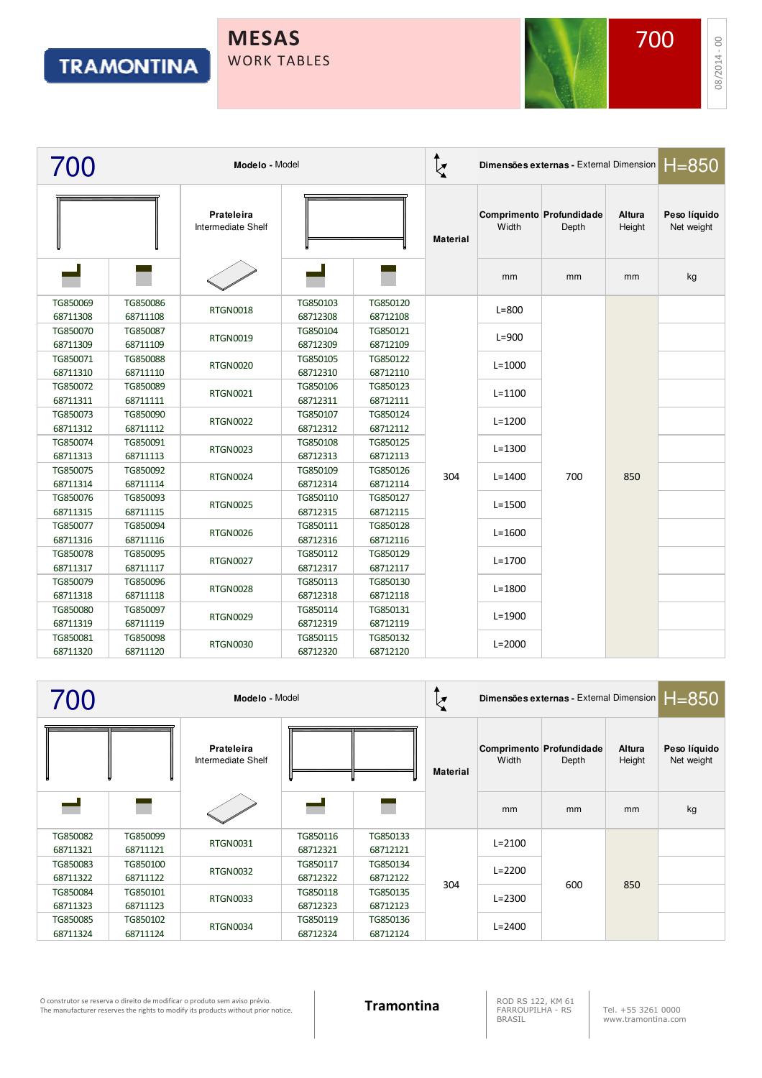### MESAS WORK TABLES



|                      | Modelo - Model       |                                  |                      |                      | $\zeta$         | Dimensões externas - External Dimension   H=850 |                                   |                  |                            |
|----------------------|----------------------|----------------------------------|----------------------|----------------------|-----------------|-------------------------------------------------|-----------------------------------|------------------|----------------------------|
|                      |                      | Prateleira<br>Intermediate Shelf |                      |                      | <b>Material</b> | Width                                           | Comprimento Profundidade<br>Depth | Altura<br>Height | Peso líquido<br>Net weight |
|                      |                      |                                  |                      |                      |                 | mm                                              | mm                                | mm               | kg                         |
| TG850069<br>68711308 | TG850086<br>68711108 | <b>RTGN0018</b>                  | TG850103<br>68712308 | TG850120<br>68712108 |                 | $L=800$                                         |                                   |                  |                            |
| TG850070<br>68711309 | TG850087<br>68711109 | <b>RTGN0019</b>                  | TG850104<br>68712309 | TG850121<br>68712109 |                 | $L = 900$                                       |                                   |                  |                            |
| TG850071<br>68711310 | TG850088<br>68711110 | <b>RTGN0020</b>                  | TG850105<br>68712310 | TG850122<br>68712110 |                 | $L = 1000$                                      |                                   |                  |                            |
| TG850072<br>68711311 | TG850089<br>68711111 | <b>RTGN0021</b>                  | TG850106<br>68712311 | TG850123<br>68712111 |                 | $L = 1100$                                      |                                   |                  |                            |
| TG850073<br>68711312 | TG850090<br>68711112 | <b>RTGN0022</b>                  | TG850107<br>68712312 | TG850124<br>68712112 |                 | $L = 1200$                                      |                                   |                  |                            |
| TG850074<br>68711313 | TG850091<br>68711113 | <b>RTGN0023</b>                  | TG850108<br>68712313 | TG850125<br>68712113 |                 | $L = 1300$                                      |                                   |                  |                            |
| TG850075<br>68711314 | TG850092<br>68711114 | <b>RTGN0024</b>                  | TG850109<br>68712314 | TG850126<br>68712114 | 304             | $L = 1400$                                      | 700                               | 850              |                            |
| TG850076<br>68711315 | TG850093<br>68711115 | <b>RTGN0025</b>                  | TG850110<br>68712315 | TG850127<br>68712115 |                 | $L = 1500$                                      |                                   |                  |                            |
| TG850077<br>68711316 | TG850094<br>68711116 | <b>RTGN0026</b>                  | TG850111<br>68712316 | TG850128<br>68712116 |                 | $L = 1600$                                      |                                   |                  |                            |
| TG850078<br>68711317 | TG850095<br>68711117 | <b>RTGN0027</b>                  | TG850112<br>68712317 | TG850129<br>68712117 |                 | $L = 1700$                                      |                                   |                  |                            |
| TG850079<br>68711318 | TG850096<br>68711118 | <b>RTGN0028</b>                  | TG850113<br>68712318 | TG850130<br>68712118 |                 | $L = 1800$                                      |                                   |                  |                            |
| TG850080<br>68711319 | TG850097<br>68711119 | <b>RTGN0029</b>                  | TG850114<br>68712319 | TG850131<br>68712119 |                 | $L = 1900$                                      |                                   |                  |                            |
| TG850081<br>68711320 | TG850098<br>68711120 | <b>RTGN0030</b>                  | TG850115<br>68712320 | TG850132<br>68712120 |                 | $L = 2000$                                      |                                   |                  |                            |

| 700                  | Modelo - Model       |                                  |                      |                      |                 |            | Dimensões externas - External Dimension     850 |                  |                            |
|----------------------|----------------------|----------------------------------|----------------------|----------------------|-----------------|------------|-------------------------------------------------|------------------|----------------------------|
|                      |                      | Prateleira<br>Intermediate Shelf |                      |                      | <b>Material</b> | Width      | Comprimento Profundidade<br>Depth               | Altura<br>Height | Peso líquido<br>Net weight |
|                      |                      |                                  |                      |                      |                 | mm         | mm                                              | mm               | kg                         |
| TG850082<br>68711321 | TG850099<br>68711121 | <b>RTGN0031</b>                  | TG850116<br>68712321 | TG850133<br>68712121 |                 | $L = 2100$ |                                                 |                  |                            |
| TG850083             | TG850100             |                                  | TG850117             | TG850134             |                 |            |                                                 |                  |                            |
| 68711322             | 68711122             | <b>RTGN0032</b>                  | 68712322             | 68712122             |                 | $L = 2200$ | 600                                             | 850              |                            |
| TG850084             | TG850101             | <b>RTGN0033</b>                  | TG850118             | TG850135             | 304             | $L = 2300$ |                                                 |                  |                            |
| 68711323             | 68711123             |                                  | 68712323             | 68712123             |                 |            |                                                 |                  |                            |
| TG850085             | TG850102             | <b>RTGN0034</b>                  | TG850119             | TG850136             |                 | $L = 2400$ |                                                 |                  |                            |
| 68711324             | 68711124             |                                  | 68712324             | 68712124             |                 |            |                                                 |                  |                            |

O construtor se reserva o direito de modificar o produto sem aviso prévio.<br>The manufacturer reserves the rights to modify its products without prior notice. **Tramontina** RAROUPILHA - RS

FARROUPILHA - RS BRASIL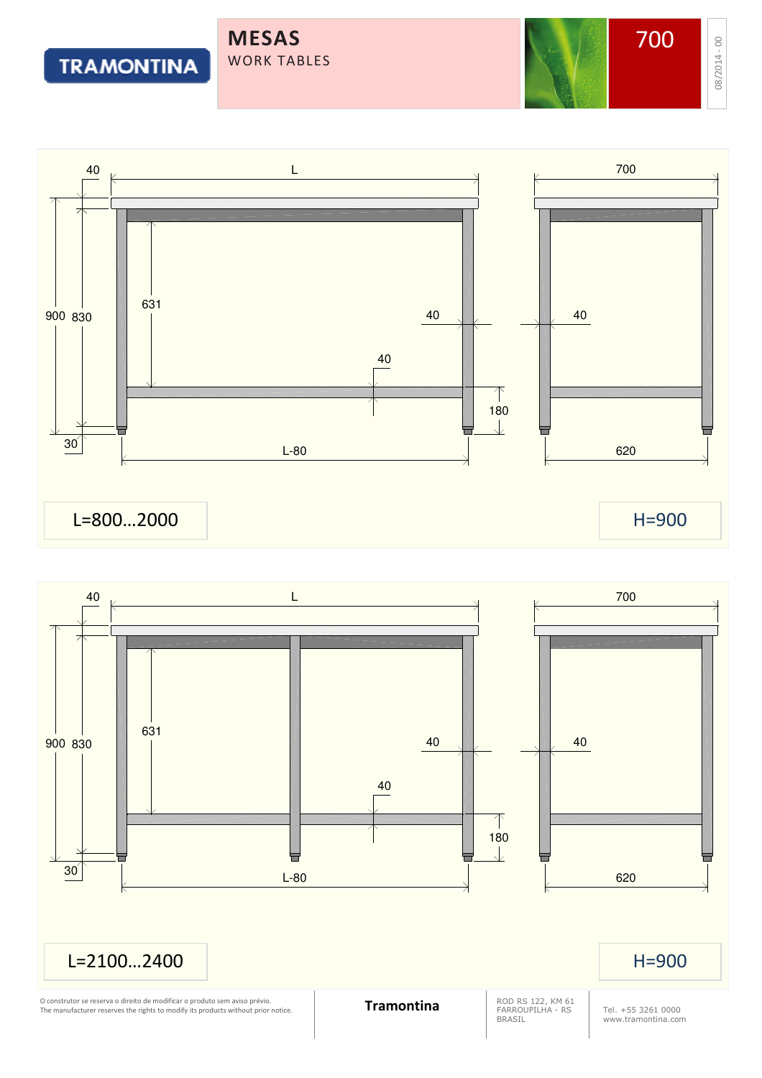WORK TABLES

MESAS

**TRAMONTINA** 



![](_page_3_Figure_6.jpeg)

08/2014 -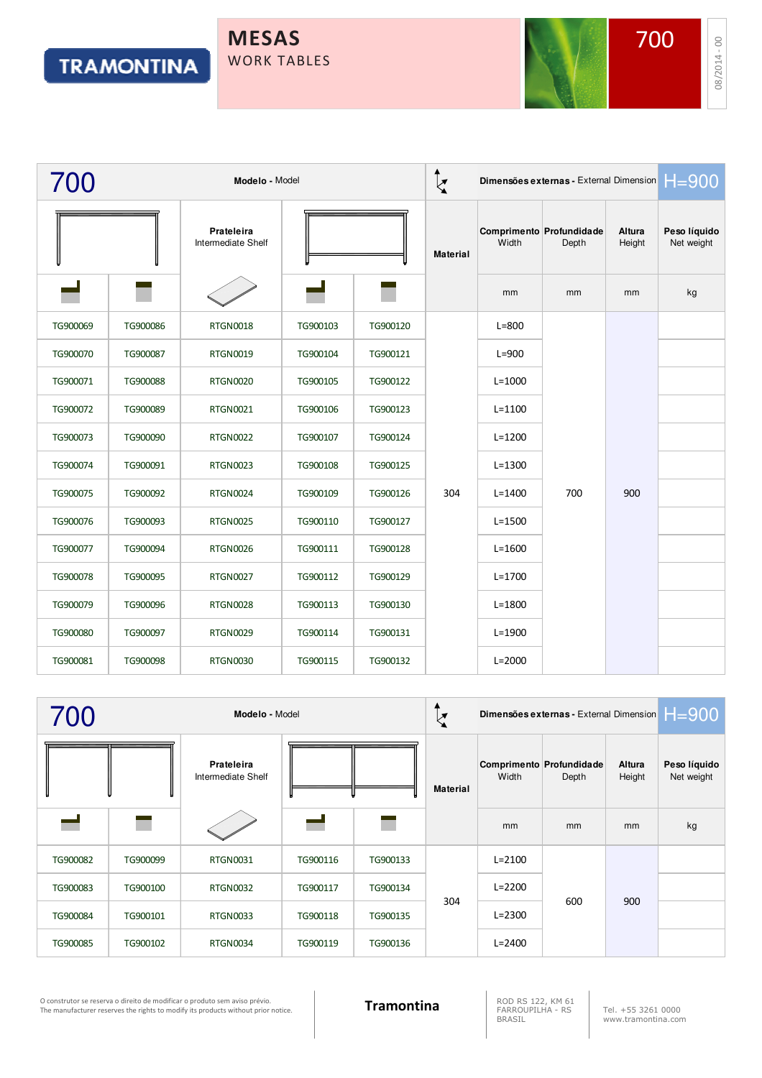![](_page_4_Picture_2.jpeg)

08/2014 - 00

|          | Modelo - Model |                                  |          |          | ♠<br>Dimensões externas - External Dimension $H = 900$<br>$\overline{\mathbf{z}}$ |            |                                   |                  |                            |
|----------|----------------|----------------------------------|----------|----------|-----------------------------------------------------------------------------------|------------|-----------------------------------|------------------|----------------------------|
|          |                | Prateleira<br>Intermediate Shelf |          |          | <b>Material</b>                                                                   | Width      | Comprimento Profundidade<br>Depth | Altura<br>Height | Peso líquido<br>Net weight |
|          |                |                                  |          |          |                                                                                   | mm         | mm                                | mm               | kg                         |
| TG900069 | TG900086       | <b>RTGN0018</b>                  | TG900103 | TG900120 |                                                                                   | $L = 800$  |                                   |                  |                            |
| TG900070 | TG900087       | <b>RTGN0019</b>                  | TG900104 | TG900121 |                                                                                   | $L=900$    |                                   |                  |                            |
| TG900071 | TG900088       | <b>RTGN0020</b>                  | TG900105 | TG900122 |                                                                                   | $L = 1000$ |                                   |                  |                            |
| TG900072 | TG900089       | <b>RTGN0021</b>                  | TG900106 | TG900123 |                                                                                   | $L = 1100$ |                                   |                  |                            |
| TG900073 | TG900090       | <b>RTGN0022</b>                  | TG900107 | TG900124 |                                                                                   | $L = 1200$ |                                   |                  |                            |
| TG900074 | TG900091       | <b>RTGN0023</b>                  | TG900108 | TG900125 |                                                                                   | $L = 1300$ |                                   |                  |                            |
| TG900075 | TG900092       | <b>RTGN0024</b>                  | TG900109 | TG900126 | 304                                                                               | $L = 1400$ | 700                               | 900              |                            |
| TG900076 | TG900093       | <b>RTGN0025</b>                  | TG900110 | TG900127 |                                                                                   | $L = 1500$ |                                   |                  |                            |
| TG900077 | TG900094       | <b>RTGN0026</b>                  | TG900111 | TG900128 |                                                                                   | $L = 1600$ |                                   |                  |                            |
| TG900078 | TG900095       | <b>RTGN0027</b>                  | TG900112 | TG900129 |                                                                                   | $L = 1700$ |                                   |                  |                            |
| TG900079 | TG900096       | <b>RTGN0028</b>                  | TG900113 | TG900130 |                                                                                   | $L = 1800$ |                                   |                  |                            |
| TG900080 | TG900097       | <b>RTGN0029</b>                  | TG900114 | TG900131 |                                                                                   | $L = 1900$ |                                   |                  |                            |
| TG900081 | TG900098       | <b>RTGN0030</b>                  | TG900115 | TG900132 |                                                                                   | $L = 2000$ |                                   |                  |                            |

| 700      | Modelo - Model |                                  |          |          | $\zeta$         |            | Dimensões externas - External Dimension $H = 900$ |                  |                            |
|----------|----------------|----------------------------------|----------|----------|-----------------|------------|---------------------------------------------------|------------------|----------------------------|
|          |                | Prateleira<br>Intermediate Shelf |          |          | <b>Material</b> | Width      | Comprimento Profundidade<br>Depth                 | Altura<br>Height | Peso líquido<br>Net weight |
|          |                |                                  |          |          |                 | mm         | mm                                                | mm               | kg                         |
| TG900082 | TG900099       | <b>RTGN0031</b>                  | TG900116 | TG900133 |                 | $L = 2100$ |                                                   |                  |                            |
| TG900083 | TG900100       | <b>RTGN0032</b>                  | TG900117 | TG900134 |                 | $L = 2200$ |                                                   | 900              |                            |
| TG900084 | TG900101       | <b>RTGN0033</b>                  | TG900118 | TG900135 | 304             | $L = 2300$ | 600                                               |                  |                            |
| TG900085 | TG900102       | RTGN0034                         | TG900119 | TG900136 |                 | $L = 2400$ |                                                   |                  |                            |

O construtor se reserva o direito de modificar o produto sem aviso prévio.<br>The manufacturer reserves the rights to modify its products without prior notice. **Tramontina** RAROUPILHA - RS

FARROUPILHA - RS BRASIL